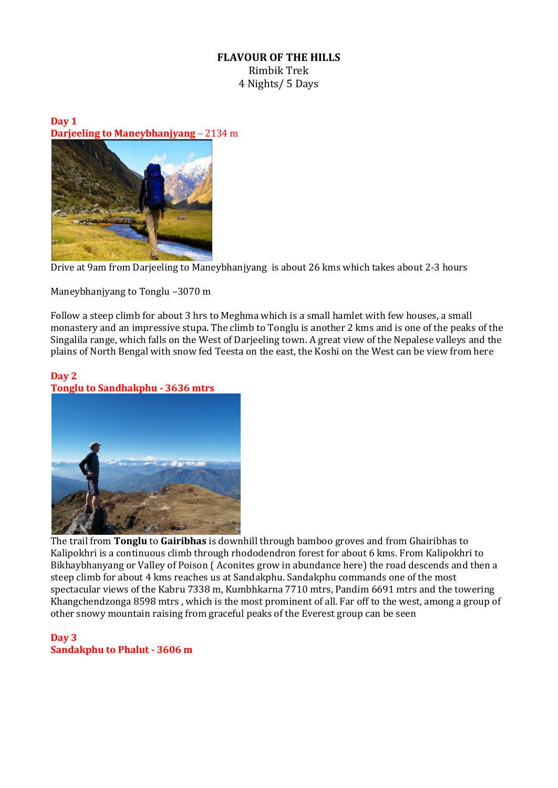## **FLAVOUR OF THE HILLS** Rimbik Trek 4 Nights/ 5 Days

**Day 1 Darjeeling to Maneybhanjyang** – 2134 m



Drive at 9am from Darjeeling to Maneybhanjyang is about 26 kms which takes about 2-3 hours

Maneybhanjyang to Tonglu –3070 m

Follow a steep climb for about 3 hrs to Meghma which is a small hamlet with few houses, a small monastery and an impressive stupa. The climb to Tonglu is another 2 kms and is one of the peaks of the Singalila range, which falls on the West of Darjeeling town. A great view of the Nepalese valleys and the plains of North Bengal with snow fed Teesta on the east, the Koshi on the West can be view from here

## **Day 2 Tonglu to Sandhakphu - 3636 mtrs**



The trail from **Tonglu** to **Gairibhas** is downhill through bamboo groves and from Ghairibhas to Kalipokhri is a continuous climb through rhododendron forest for about 6 kms. From Kalipokhri to Bikhaybhanyang or Valley of Poison ( Aconites grow in abundance here) the road descends and then a steep climb for about 4 kms reaches us at Sandakphu. Sandakphu commands one of the most spectacular views of the Kabru 7338 m, Kumbhkarna 7710 mtrs, Pandim 6691 mtrs and the towering Khangchendzonga 8598 mtrs , which is the most prominent of all. Far off to the west, among a group of other snowy mountain raising from graceful peaks of the Everest group can be seen

## **Day 3 Sandakphu to Phalut - 3606 m**